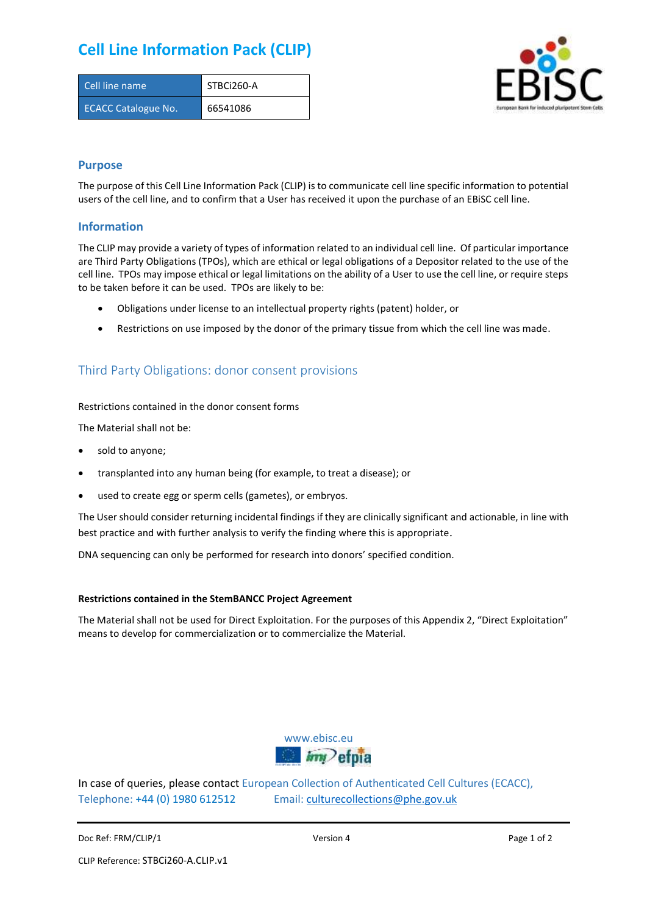# **Cell Line Information Pack (CLIP)**

| Cell line name             | STBCi260-A |
|----------------------------|------------|
| <b>ECACC Catalogue No.</b> | 66541086   |



### **Purpose**

The purpose of this Cell Line Information Pack (CLIP) is to communicate cell line specific information to potential users of the cell line, and to confirm that a User has received it upon the purchase of an EBiSC cell line.

### **Information**

The CLIP may provide a variety of types of information related to an individual cell line. Of particular importance are Third Party Obligations (TPOs), which are ethical or legal obligations of a Depositor related to the use of the cell line. TPOs may impose ethical or legal limitations on the ability of a User to use the cell line, or require steps to be taken before it can be used. TPOs are likely to be:

- Obligations under license to an intellectual property rights (patent) holder, or
- Restrictions on use imposed by the donor of the primary tissue from which the cell line was made.

## Third Party Obligations: donor consent provisions

#### Restrictions contained in the donor consent forms

The Material shall not be:

- sold to anyone;
- transplanted into any human being (for example, to treat a disease); or
- used to create egg or sperm cells (gametes), or embryos.

The User should consider returning incidental findings if they are clinically significant and actionable, in line with best practice and with further analysis to verify the finding where this is appropriate.

DNA sequencing can only be performed for research into donors' specified condition.

#### **Restrictions contained in the StemBANCC Project Agreement**

The Material shall not be used for Direct Exploitation. For the purposes of this Appendix 2, "Direct Exploitation" means to develop for commercialization or to commercialize the Material.



In case of queries, please contact European Collection of Authenticated Cell Cultures (ECACC), Telephone: +44 (0) 1980 612512 Email: [culturecollections@phe.gov.uk](mailto:culturecollections@phe.gov.uk)

Doc Ref: FRM/CLIP/1 **Docessition 2** Page 1 of 2